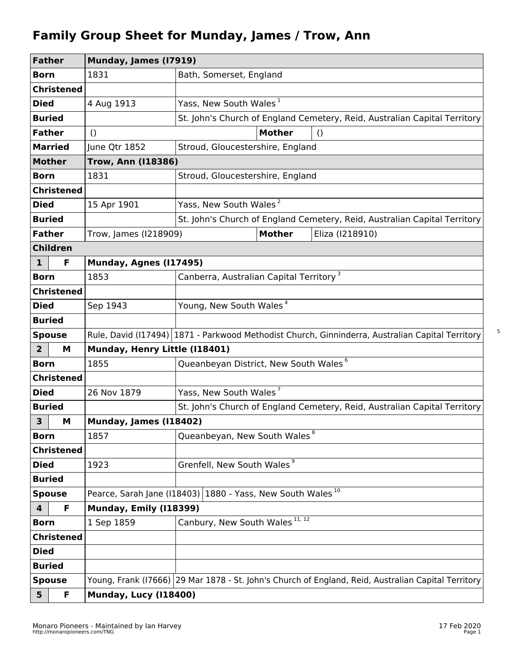## **Family Group Sheet for Munday, James / Trow, Ann**

| <b>Father</b>                                                                           |                   | Munday, James (17919)         |                                                                                                     |  |  |
|-----------------------------------------------------------------------------------------|-------------------|-------------------------------|-----------------------------------------------------------------------------------------------------|--|--|
| <b>Born</b>                                                                             |                   | 1831                          | Bath, Somerset, England                                                                             |  |  |
|                                                                                         | <b>Christened</b> |                               |                                                                                                     |  |  |
| <b>Died</b>                                                                             |                   | 4 Aug 1913                    | Yass, New South Wales <sup>1</sup>                                                                  |  |  |
| <b>Buried</b>                                                                           |                   |                               | St. John's Church of England Cemetery, Reid, Australian Capital Territory                           |  |  |
|                                                                                         | <b>Father</b>     | $\left( \right)$              | <b>Mother</b><br>$\left( \right)$                                                                   |  |  |
| <b>Married</b>                                                                          |                   | June Qtr 1852                 | Stroud, Gloucestershire, England                                                                    |  |  |
| <b>Mother</b>                                                                           |                   | <b>Trow, Ann (118386)</b>     |                                                                                                     |  |  |
| <b>Born</b>                                                                             |                   | 1831                          | Stroud, Gloucestershire, England                                                                    |  |  |
|                                                                                         | <b>Christened</b> |                               |                                                                                                     |  |  |
| <b>Died</b>                                                                             |                   | 15 Apr 1901                   | Yass, New South Wales <sup>2</sup>                                                                  |  |  |
| <b>Buried</b>                                                                           |                   |                               | St. John's Church of England Cemetery, Reid, Australian Capital Territory                           |  |  |
| <b>Father</b>                                                                           |                   | Trow, James (I218909)         | <b>Mother</b><br>Eliza (1218910)                                                                    |  |  |
|                                                                                         | <b>Children</b>   |                               |                                                                                                     |  |  |
| $\mathbf{1}$                                                                            | F                 | Munday, Agnes (117495)        |                                                                                                     |  |  |
| <b>Born</b>                                                                             |                   | 1853                          | Canberra, Australian Capital Territory <sup>3</sup>                                                 |  |  |
|                                                                                         | <b>Christened</b> |                               |                                                                                                     |  |  |
| <b>Died</b>                                                                             |                   | Sep 1943                      | Young, New South Wales <sup>4</sup>                                                                 |  |  |
| <b>Buried</b>                                                                           |                   |                               |                                                                                                     |  |  |
| <b>Spouse</b>                                                                           |                   |                               | Rule, David (117494) 1871 - Parkwood Methodist Church, Ginninderra, Australian Capital Territory    |  |  |
| $\overline{2}$                                                                          | M                 | Munday, Henry Little (I18401) |                                                                                                     |  |  |
| <b>Born</b>                                                                             |                   | 1855                          | Queanbeyan District, New South Wales <sup>6</sup>                                                   |  |  |
| <b>Christened</b>                                                                       |                   |                               |                                                                                                     |  |  |
| <b>Died</b>                                                                             |                   | 26 Nov 1879                   | Yass, New South Wales <sup>7</sup>                                                                  |  |  |
| <b>Buried</b>                                                                           |                   |                               | St. John's Church of England Cemetery, Reid, Australian Capital Territory                           |  |  |
| 3                                                                                       | M                 | <b>Munday, James (118402)</b> |                                                                                                     |  |  |
| <b>Born</b>                                                                             |                   | 1857                          | Queanbeyan, New South Wales <sup>8</sup>                                                            |  |  |
|                                                                                         | <b>Christened</b> |                               |                                                                                                     |  |  |
| <b>Died</b>                                                                             |                   | 1923                          | Grenfell, New South Wales <sup>9</sup>                                                              |  |  |
|                                                                                         | <b>Buried</b>     |                               |                                                                                                     |  |  |
| Pearce, Sarah Jane (118403) 1880 - Yass, New South Wales <sup>10</sup><br><b>Spouse</b> |                   |                               |                                                                                                     |  |  |
| 4                                                                                       | F                 | Munday, Emily (I18399)        |                                                                                                     |  |  |
| <b>Born</b>                                                                             |                   | 1 Sep 1859                    | Canbury, New South Wales 11, 12                                                                     |  |  |
|                                                                                         | <b>Christened</b> |                               |                                                                                                     |  |  |
| <b>Died</b>                                                                             |                   |                               |                                                                                                     |  |  |
|                                                                                         | <b>Buried</b>     |                               |                                                                                                     |  |  |
|                                                                                         | <b>Spouse</b>     |                               | Young, Frank (17666) 29 Mar 1878 - St. John's Church of England, Reid, Australian Capital Territory |  |  |
| 5                                                                                       | F                 |                               | Munday, Lucy (I18400)                                                                               |  |  |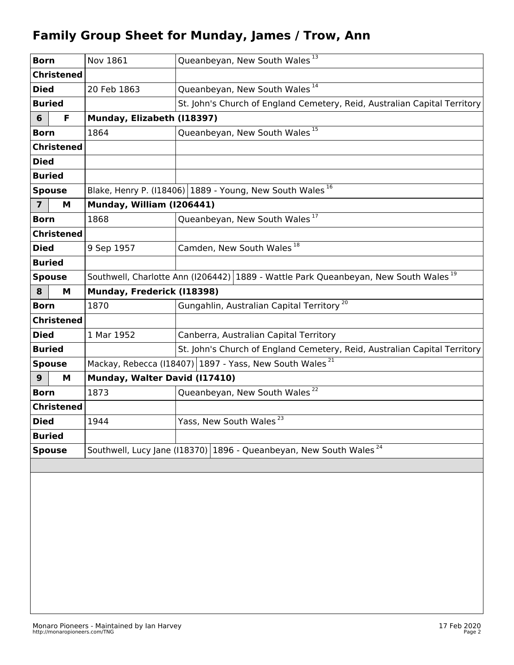## **Family Group Sheet for Munday, James / Trow, Ann**

| <b>Born</b>       |                   | Nov 1861                                                                                        | Queanbeyan, New South Wales <sup>13</sup>                                 |  |  |
|-------------------|-------------------|-------------------------------------------------------------------------------------------------|---------------------------------------------------------------------------|--|--|
|                   | <b>Christened</b> |                                                                                                 |                                                                           |  |  |
| <b>Died</b>       |                   | 20 Feb 1863                                                                                     | Queanbeyan, New South Wales <sup>14</sup>                                 |  |  |
| <b>Buried</b>     |                   |                                                                                                 | St. John's Church of England Cemetery, Reid, Australian Capital Territory |  |  |
| 6                 | F.                | Munday, Elizabeth (I18397)                                                                      |                                                                           |  |  |
| <b>Born</b>       |                   | 1864                                                                                            | Queanbeyan, New South Wales <sup>15</sup>                                 |  |  |
| <b>Christened</b> |                   |                                                                                                 |                                                                           |  |  |
| <b>Died</b>       |                   |                                                                                                 |                                                                           |  |  |
| <b>Buried</b>     |                   |                                                                                                 |                                                                           |  |  |
| <b>Spouse</b>     |                   |                                                                                                 | Blake, Henry P. (118406) 1889 - Young, New South Wales <sup>16</sup>      |  |  |
| $\overline{7}$    | М                 | Munday, William (I206441)                                                                       |                                                                           |  |  |
| <b>Born</b>       |                   | 1868                                                                                            | Queanbeyan, New South Wales <sup>17</sup>                                 |  |  |
| <b>Christened</b> |                   |                                                                                                 |                                                                           |  |  |
| Died              |                   | 9 Sep 1957                                                                                      | Camden, New South Wales <sup>18</sup>                                     |  |  |
| <b>Buried</b>     |                   |                                                                                                 |                                                                           |  |  |
| <b>Spouse</b>     |                   | Southwell, Charlotte Ann (1206442) 1889 - Wattle Park Queanbeyan, New South Wales <sup>19</sup> |                                                                           |  |  |
| 8                 | М                 | Munday, Frederick (I18398)                                                                      |                                                                           |  |  |
| <b>Born</b>       |                   | 1870                                                                                            | Gungahlin, Australian Capital Territory <sup>20</sup>                     |  |  |
| <b>Christened</b> |                   |                                                                                                 |                                                                           |  |  |
| <b>Died</b>       |                   | 1 Mar 1952                                                                                      | Canberra, Australian Capital Territory                                    |  |  |
| <b>Buried</b>     |                   |                                                                                                 | St. John's Church of England Cemetery, Reid, Australian Capital Territory |  |  |
| <b>Spouse</b>     |                   | Mackay, Rebecca (I18407) 1897 - Yass, New South Wales <sup>21</sup>                             |                                                                           |  |  |
| 9                 | М                 | Munday, Walter David (I17410)                                                                   |                                                                           |  |  |
| <b>Born</b>       |                   | 1873                                                                                            | Queanbeyan, New South Wales <sup>22</sup>                                 |  |  |
| <b>Christened</b> |                   |                                                                                                 |                                                                           |  |  |
| <b>Died</b>       |                   | 1944                                                                                            | Yass, New South Wales <sup>23</sup>                                       |  |  |
| <b>Buried</b>     |                   |                                                                                                 |                                                                           |  |  |
| <b>Spouse</b>     |                   | Southwell, Lucy Jane (I18370) 1896 - Queanbeyan, New South Wales <sup>24</sup>                  |                                                                           |  |  |
|                   |                   |                                                                                                 |                                                                           |  |  |
|                   |                   |                                                                                                 |                                                                           |  |  |
|                   |                   |                                                                                                 |                                                                           |  |  |